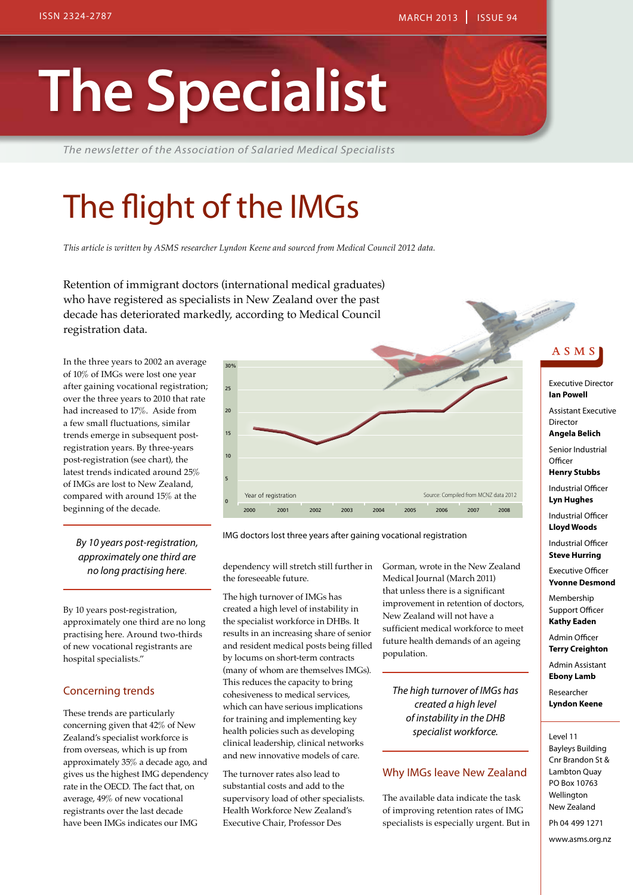# **The Specialist**

*The newsletter of the Association of Salaried Medical Specialists*

# The flight of the IMGs

*This article is written by ASMS researcher Lyndon Keene and sourced from Medical Council 2012 data.*

Retention of immigrant doctors (international medical graduates) who have registered as specialists in New Zealand over the past decade has deteriorated markedly, according to Medical Council registration data.

In the three years to 2002 an average of 10% of IMGs were lost one year after gaining vocational registration; over the three years to 2010 that rate had increased to 17%. Aside from a few small fluctuations, similar trends emerge in subsequent postregistration years. By three-years post-registration (see chart), the latest trends indicated around 25% of IMGs are lost to New Zealand, compared with around 15% at the beginning of the decade.

*By 10 years post-registration, approximately one third are no long practising here*.

By 10 years post-registration, approximately one third are no long practising here. Around two-thirds of new vocational registrants are hospital specialists."

### Concerning trends

These trends are particularly concerning given that 42% of New Zealand's specialist workforce is from overseas, which is up from approximately 35% a decade ago, and gives us the highest IMG dependency rate in the OECD. The fact that, on average, 49% of new vocational registrants over the last decade have been IMGs indicates our IMG



IMG doctors lost three years after gaining vocational registration

dependency will stretch still further in Gorman, wrote in the New Zealand the foreseeable future.

The high turnover of IMGs has created a high level of instability in the specialist workforce in DHBs. It results in an increasing share of senior and resident medical posts being filled by locums on short-term contracts (many of whom are themselves IMGs). This reduces the capacity to bring cohesiveness to medical services, which can have serious implications for training and implementing key health policies such as developing clinical leadership, clinical networks and new innovative models of care.

The turnover rates also lead to substantial costs and add to the supervisory load of other specialists. Health Workforce New Zealand's Executive Chair, Professor Des

Medical Journal (March 2011) that unless there is a significant improvement in retention of doctors, New Zealand will not have a sufficient medical workforce to meet future health demands of an ageing population.

*The high turnover of IMGs has created a high level of instability in the DHB specialist workforce.*

### Why IMGs leave New Zealand

The available data indicate the task of improving retention rates of IMG specialists is especially urgent. But in

### A S M S

Executive Director **Ian Powell** Assistant Executive Director

**Angela Belich** Senior Industrial

**Officer Henry Stubbs**

Industrial Officer **Lyn Hughes**

Industrial Officer **Lloyd Woods**

Industrial Officer **Steve Hurring**

Executive Officer **Yvonne Desmond**

Membership Support Officer **Kathy Eaden**

Admin Officer **Terry Creighton**

Admin Assistant **Ebony Lamb**

Researcher **Lyndon Keene**

#### Level 11

Bayleys Building Cnr Brandon St & Lambton Quay PO Box 10763 Wellington New Zealand Ph 04 499 1271

www.asms.org.nz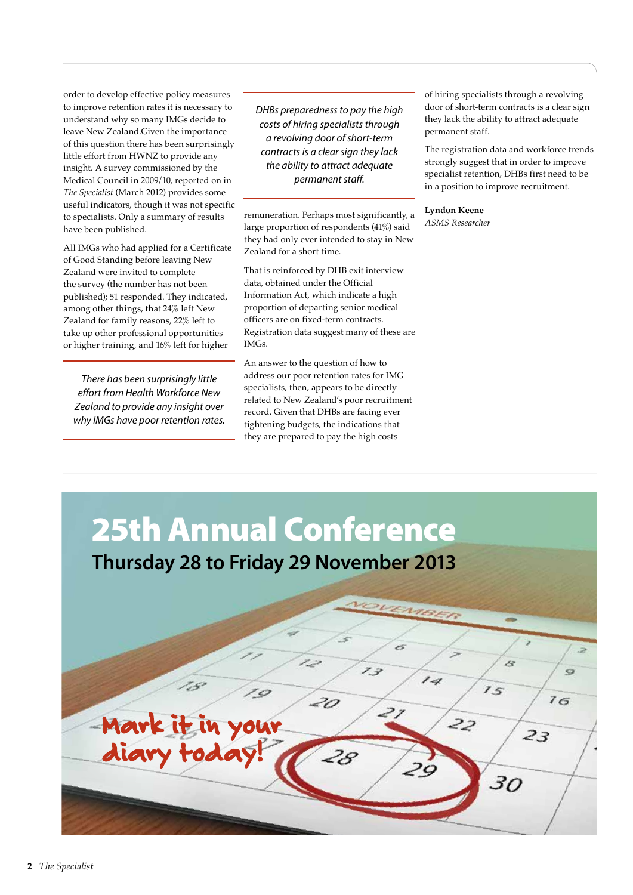order to develop effective policy measures to improve retention rates it is necessary to understand why so many IMGs decide to leave New Zealand.Given the importance of this question there has been surprisingly little effort from HWNZ to provide any insight. A survey commissioned by the Medical Council in 2009/10, reported on in *The Specialist* (March 2012) provides some useful indicators, though it was not specific to specialists. Only a summary of results have been published.

All IMGs who had applied for a Certificate of Good Standing before leaving New Zealand were invited to complete the survey (the number has not been published); 51 responded. They indicated, among other things, that 24% left New Zealand for family reasons, 22% left to take up other professional opportunities or higher training, and 16% left for higher

*There has been surprisingly little effort from Health Workforce New Zealand to provide any insight over why IMGs have poor retention rates.* *DHBs preparedness to pay the high costs of hiring specialists through a revolving door of short-term contracts is a clear sign they lack the ability to attract adequate permanent staff.*

remuneration. Perhaps most significantly, a large proportion of respondents (41%) said they had only ever intended to stay in New Zealand for a short time.

That is reinforced by DHB exit interview data, obtained under the Official Information Act, which indicate a high proportion of departing senior medical officers are on fixed-term contracts. Registration data suggest many of these are IMGs.

An answer to the question of how to address our poor retention rates for IMG specialists, then, appears to be directly related to New Zealand's poor recruitment record. Given that DHBs are facing ever tightening budgets, the indications that they are prepared to pay the high costs

of hiring specialists through a revolving door of short-term contracts is a clear sign they lack the ability to attract adequate permanent staff.

The registration data and workforce trends strongly suggest that in order to improve specialist retention, DHBs first need to be in a position to improve recruitment.

**Lyndon Keene** *ASMS Researcher*

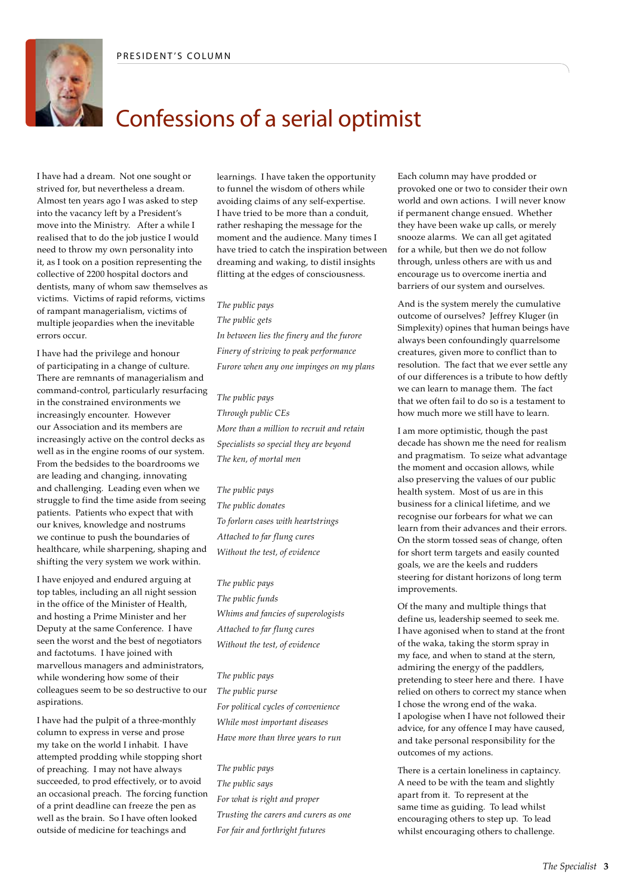

# Confessions of a serial optimist

I have had a dream. Not one sought or strived for, but nevertheless a dream. Almost ten years ago I was asked to step into the vacancy left by a President's move into the Ministry. After a while I realised that to do the job justice I would need to throw my own personality into it, as I took on a position representing the collective of 2200 hospital doctors and dentists, many of whom saw themselves as victims. Victims of rapid reforms, victims of rampant managerialism, victims of multiple jeopardies when the inevitable errors occur.

I have had the privilege and honour of participating in a change of culture. There are remnants of managerialism and command-control, particularly resurfacing in the constrained environments we increasingly encounter. However our Association and its members are increasingly active on the control decks as well as in the engine rooms of our system. From the bedsides to the boardrooms we are leading and changing, innovating and challenging. Leading even when we struggle to find the time aside from seeing patients. Patients who expect that with our knives, knowledge and nostrums we continue to push the boundaries of healthcare, while sharpening, shaping and shifting the very system we work within.

I have enjoyed and endured arguing at top tables, including an all night session in the office of the Minister of Health, and hosting a Prime Minister and her Deputy at the same Conference. I have seen the worst and the best of negotiators and factotums. I have joined with marvellous managers and administrators, while wondering how some of their colleagues seem to be so destructive to our aspirations.

I have had the pulpit of a three-monthly column to express in verse and prose my take on the world I inhabit. I have attempted prodding while stopping short of preaching. I may not have always succeeded, to prod effectively, or to avoid an occasional preach. The forcing function of a print deadline can freeze the pen as well as the brain. So I have often looked outside of medicine for teachings and

learnings. I have taken the opportunity to funnel the wisdom of others while avoiding claims of any self-expertise. I have tried to be more than a conduit, rather reshaping the message for the moment and the audience. Many times I have tried to catch the inspiration between dreaming and waking, to distil insights flitting at the edges of consciousness.

*The public pays* 

*The public gets In between lies the finery and the furore Finery of striving to peak performance Furore when any one impinges on my plans*

*The public pays Through public CEs More than a million to recruit and retain Specialists so special they are beyond The ken, of mortal men*

*The public pays The public donates To forlorn cases with heartstrings Attached to far flung cures Without the test, of evidence*

*The public pays The public funds Whims and fancies of superologists Attached to far flung cures Without the test, of evidence*

*The public pays The public purse For political cycles of convenience While most important diseases Have more than three years to run*

*The public pays The public says For what is right and proper Trusting the carers and curers as one For fair and forthright futures*

Each column may have prodded or provoked one or two to consider their own world and own actions. I will never know if permanent change ensued. Whether they have been wake up calls, or merely snooze alarms. We can all get agitated for a while, but then we do not follow through, unless others are with us and encourage us to overcome inertia and barriers of our system and ourselves.

And is the system merely the cumulative outcome of ourselves? Jeffrey Kluger (in Simplexity) opines that human beings have always been confoundingly quarrelsome creatures, given more to conflict than to resolution. The fact that we ever settle any of our differences is a tribute to how deftly we can learn to manage them. The fact that we often fail to do so is a testament to how much more we still have to learn.

I am more optimistic, though the past decade has shown me the need for realism and pragmatism. To seize what advantage the moment and occasion allows, while also preserving the values of our public health system. Most of us are in this business for a clinical lifetime, and we recognise our forbears for what we can learn from their advances and their errors. On the storm tossed seas of change, often for short term targets and easily counted goals, we are the keels and rudders steering for distant horizons of long term improvements.

Of the many and multiple things that define us, leadership seemed to seek me. I have agonised when to stand at the front of the waka, taking the storm spray in my face, and when to stand at the stern, admiring the energy of the paddlers, pretending to steer here and there. I have relied on others to correct my stance when I chose the wrong end of the waka. I apologise when I have not followed their advice, for any offence I may have caused, and take personal responsibility for the outcomes of my actions.

There is a certain loneliness in captaincy. A need to be with the team and slightly apart from it. To represent at the same time as guiding. To lead whilst encouraging others to step up. To lead whilst encouraging others to challenge.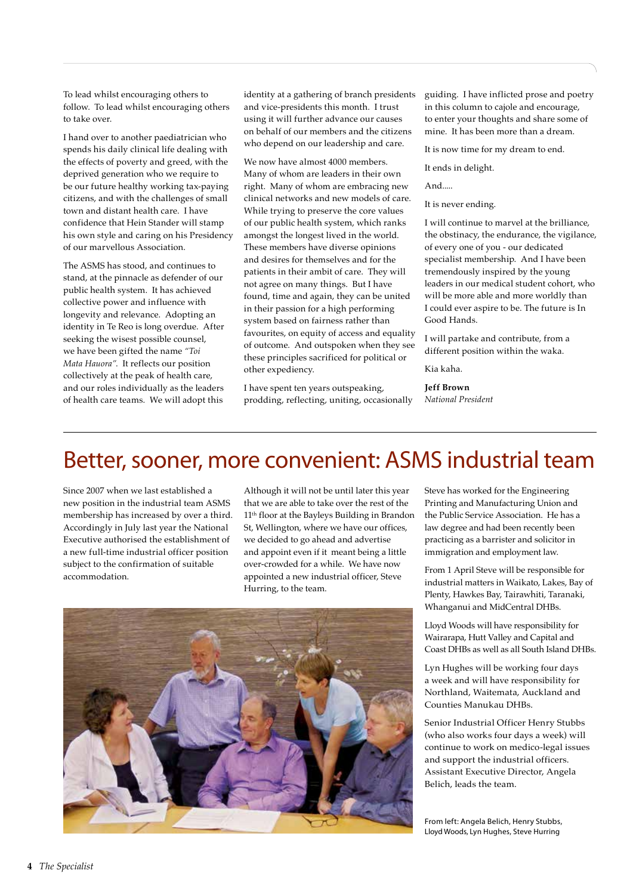To lead whilst encouraging others to follow. To lead whilst encouraging others to take over.

I hand over to another paediatrician who spends his daily clinical life dealing with the effects of poverty and greed, with the deprived generation who we require to be our future healthy working tax-paying citizens, and with the challenges of small town and distant health care. I have confidence that Hein Stander will stamp his own style and caring on his Presidency of our marvellous Association.

The ASMS has stood, and continues to stand, at the pinnacle as defender of our public health system. It has achieved collective power and influence with longevity and relevance. Adopting an identity in Te Reo is long overdue. After seeking the wisest possible counsel, we have been gifted the name *"Toi Mata Hauora"*. It reflects our position collectively at the peak of health care, and our roles individually as the leaders of health care teams. We will adopt this

identity at a gathering of branch presidents and vice-presidents this month. I trust using it will further advance our causes on behalf of our members and the citizens who depend on our leadership and care.

We now have almost 4000 members. Many of whom are leaders in their own right. Many of whom are embracing new clinical networks and new models of care. While trying to preserve the core values of our public health system, which ranks amongst the longest lived in the world. These members have diverse opinions and desires for themselves and for the patients in their ambit of care. They will not agree on many things. But I have found, time and again, they can be united in their passion for a high performing system based on fairness rather than favourites, on equity of access and equality of outcome. And outspoken when they see these principles sacrificed for political or other expediency.

I have spent ten years outspeaking, prodding, reflecting, uniting, occasionally guiding. I have inflicted prose and poetry in this column to cajole and encourage, to enter your thoughts and share some of mine. It has been more than a dream.

It is now time for my dream to end.

It ends in delight.

And.....

It is never ending.

I will continue to marvel at the brilliance, the obstinacy, the endurance, the vigilance, of every one of you - our dedicated specialist membership. And I have been tremendously inspired by the young leaders in our medical student cohort, who will be more able and more worldly than I could ever aspire to be. The future is In Good Hands.

I will partake and contribute, from a different position within the waka.

Kia kaha.

**Jeff Brown** *National President*

### Better, sooner, more convenient: ASMS industrial team

Since 2007 when we last established a new position in the industrial team ASMS membership has increased by over a third. Accordingly in July last year the National Executive authorised the establishment of a new full-time industrial officer position subject to the confirmation of suitable accommodation.

Although it will not be until later this year that we are able to take over the rest of the 11th floor at the Bayleys Building in Brandon St, Wellington, where we have our offices, we decided to go ahead and advertise and appoint even if it meant being a little over-crowded for a while. We have now appointed a new industrial officer, Steve Hurring, to the team.



Steve has worked for the Engineering Printing and Manufacturing Union and the Public Service Association. He has a law degree and had been recently been practicing as a barrister and solicitor in immigration and employment law.

From 1 April Steve will be responsible for industrial matters in Waikato, Lakes, Bay of Plenty, Hawkes Bay, Tairawhiti, Taranaki, Whanganui and MidCentral DHBs.

Lloyd Woods will have responsibility for Wairarapa, Hutt Valley and Capital and Coast DHBs as well as all South Island DHBs.

Lyn Hughes will be working four days a week and will have responsibility for Northland, Waitemata, Auckland and Counties Manukau DHBs.

Senior Industrial Officer Henry Stubbs (who also works four days a week) will continue to work on medico-legal issues and support the industrial officers. Assistant Executive Director, Angela Belich, leads the team.

From left: Angela Belich, Henry Stubbs, Lloyd Woods, Lyn Hughes, Steve Hurring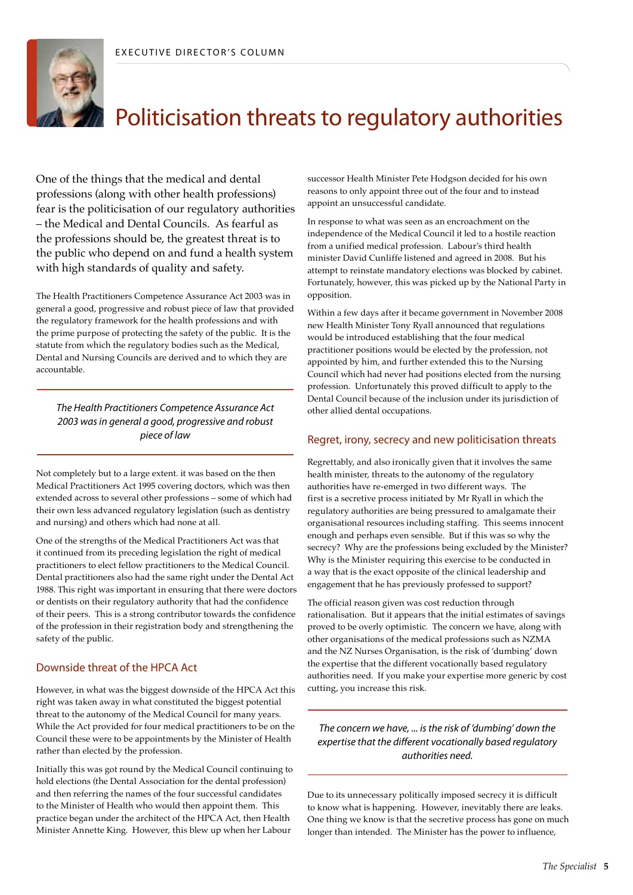

# Politicisation threats to regulatory authorities

One of the things that the medical and dental professions (along with other health professions) fear is the politicisation of our regulatory authorities – the Medical and Dental Councils. As fearful as the professions should be, the greatest threat is to the public who depend on and fund a health system with high standards of quality and safety.

The Health Practitioners Competence Assurance Act 2003 was in general a good, progressive and robust piece of law that provided the regulatory framework for the health professions and with the prime purpose of protecting the safety of the public. It is the statute from which the regulatory bodies such as the Medical, Dental and Nursing Councils are derived and to which they are accountable.

*The Health Practitioners Competence Assurance Act 2003 was in general a good, progressive and robust piece of law*

Not completely but to a large extent. it was based on the then Medical Practitioners Act 1995 covering doctors, which was then extended across to several other professions – some of which had their own less advanced regulatory legislation (such as dentistry and nursing) and others which had none at all.

One of the strengths of the Medical Practitioners Act was that it continued from its preceding legislation the right of medical practitioners to elect fellow practitioners to the Medical Council. Dental practitioners also had the same right under the Dental Act 1988. This right was important in ensuring that there were doctors or dentists on their regulatory authority that had the confidence of their peers. This is a strong contributor towards the confidence of the profession in their registration body and strengthening the safety of the public.

### Downside threat of the HPCA Act

However, in what was the biggest downside of the HPCA Act this right was taken away in what constituted the biggest potential threat to the autonomy of the Medical Council for many years. While the Act provided for four medical practitioners to be on the Council these were to be appointments by the Minister of Health rather than elected by the profession.

Initially this was got round by the Medical Council continuing to hold elections (the Dental Association for the dental profession) and then referring the names of the four successful candidates to the Minister of Health who would then appoint them. This practice began under the architect of the HPCA Act, then Health Minister Annette King. However, this blew up when her Labour

successor Health Minister Pete Hodgson decided for his own reasons to only appoint three out of the four and to instead appoint an unsuccessful candidate.

In response to what was seen as an encroachment on the independence of the Medical Council it led to a hostile reaction from a unified medical profession. Labour's third health minister David Cunliffe listened and agreed in 2008. But his attempt to reinstate mandatory elections was blocked by cabinet. Fortunately, however, this was picked up by the National Party in opposition.

Within a few days after it became government in November 2008 new Health Minister Tony Ryall announced that regulations would be introduced establishing that the four medical practitioner positions would be elected by the profession, not appointed by him, and further extended this to the Nursing Council which had never had positions elected from the nursing profession. Unfortunately this proved difficult to apply to the Dental Council because of the inclusion under its jurisdiction of other allied dental occupations.

### Regret, irony, secrecy and new politicisation threats

Regrettably, and also ironically given that it involves the same health minister, threats to the autonomy of the regulatory authorities have re-emerged in two different ways. The first is a secretive process initiated by Mr Ryall in which the regulatory authorities are being pressured to amalgamate their organisational resources including staffing. This seems innocent enough and perhaps even sensible. But if this was so why the secrecy? Why are the professions being excluded by the Minister? Why is the Minister requiring this exercise to be conducted in a way that is the exact opposite of the clinical leadership and engagement that he has previously professed to support?

The official reason given was cost reduction through rationalisation. But it appears that the initial estimates of savings proved to be overly optimistic. The concern we have, along with other organisations of the medical professions such as NZMA and the NZ Nurses Organisation, is the risk of 'dumbing' down the expertise that the different vocationally based regulatory authorities need. If you make your expertise more generic by cost cutting, you increase this risk.

*The concern we have, ... is the risk of 'dumbing' down the expertise that the different vocationally based regulatory authorities need.*

Due to its unnecessary politically imposed secrecy it is difficult to know what is happening. However, inevitably there are leaks. One thing we know is that the secretive process has gone on much longer than intended. The Minister has the power to influence,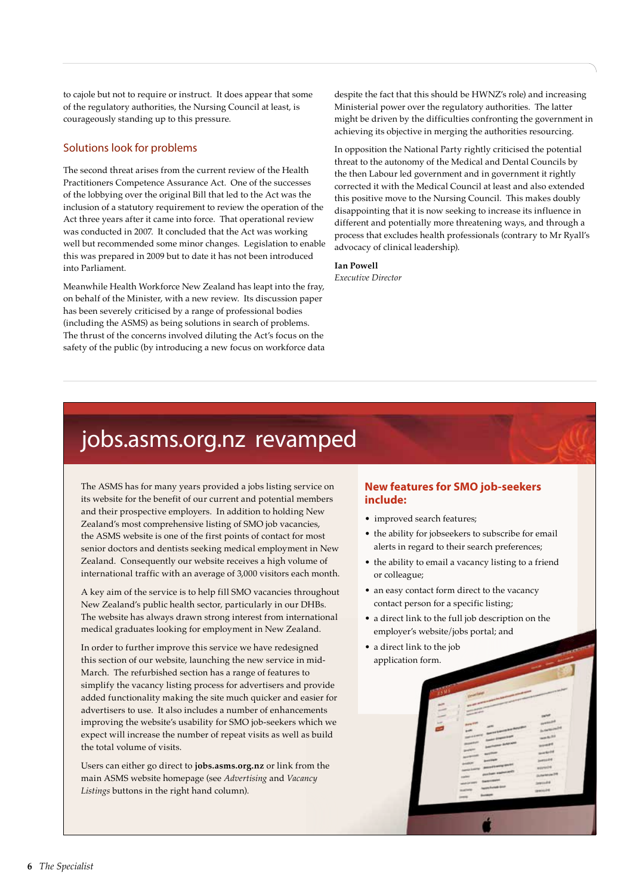to cajole but not to require or instruct. It does appear that some of the regulatory authorities, the Nursing Council at least, is courageously standing up to this pressure.

### Solutions look for problems

The second threat arises from the current review of the Health Practitioners Competence Assurance Act. One of the successes of the lobbying over the original Bill that led to the Act was the inclusion of a statutory requirement to review the operation of the Act three years after it came into force. That operational review was conducted in 2007. It concluded that the Act was working well but recommended some minor changes. Legislation to enable this was prepared in 2009 but to date it has not been introduced into Parliament.

Meanwhile Health Workforce New Zealand has leapt into the fray, on behalf of the Minister, with a new review. Its discussion paper has been severely criticised by a range of professional bodies (including the ASMS) as being solutions in search of problems. The thrust of the concerns involved diluting the Act's focus on the safety of the public (by introducing a new focus on workforce data

despite the fact that this should be HWNZ's role) and increasing Ministerial power over the regulatory authorities. The latter might be driven by the difficulties confronting the government in achieving its objective in merging the authorities resourcing.

In opposition the National Party rightly criticised the potential threat to the autonomy of the Medical and Dental Councils by the then Labour led government and in government it rightly corrected it with the Medical Council at least and also extended this positive move to the Nursing Council. This makes doubly disappointing that it is now seeking to increase its influence in different and potentially more threatening ways, and through a process that excludes health professionals (contrary to Mr Ryall's advocacy of clinical leadership).

### **Ian Powell**

*Executive Director*

### jobs.asms.org.nz revamped

The ASMS has for many years provided a jobs listing service on its website for the benefit of our current and potential members and their prospective employers. In addition to holding New Zealand's most comprehensive listing of SMO job vacancies, the ASMS website is one of the first points of contact for most senior doctors and dentists seeking medical employment in New Zealand. Consequently our website receives a high volume of international traffic with an average of 3,000 visitors each month.

A key aim of the service is to help fill SMO vacancies throughout New Zealand's public health sector, particularly in our DHBs. The website has always drawn strong interest from international medical graduates looking for employment in New Zealand.

In order to further improve this service we have redesigned this section of our website, launching the new service in mid-March. The refurbished section has a range of features to simplify the vacancy listing process for advertisers and provide added functionality making the site much quicker and easier for advertisers to use. It also includes a number of enhancements improving the website's usability for SMO job-seekers which we expect will increase the number of repeat visits as well as build the total volume of visits.

Users can either go direct to **jobs.asms.org.nz** or link from the main ASMS website homepage (see *Advertising* and *Vacancy Listings* buttons in the right hand column).

### **New features for SMO job-seekers include:**

- improved search features;
- the ability for jobseekers to subscribe for email alerts in regard to their search preferences;
- the ability to email a vacancy listing to a friend or colleague;
- an easy contact form direct to the vacancy contact person for a specific listing;
- a direct link to the full job description on the employer's website/jobs portal; and
- a direct link to the job application form.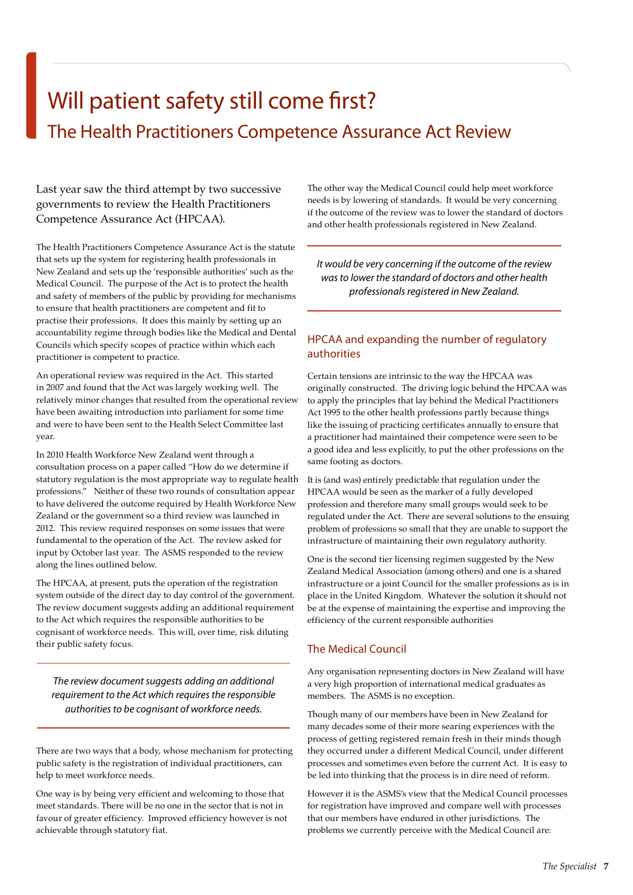# Will patient safety still come first? The Health Practitioners Competence Assurance Act Review

Last year saw the third attempt by two successive governments to review the Health Practitioners Competence Assurance Act (HPCAA).

The Health Practitioners Competence Assurance Act is the statute that sets up the system for registering health professionals in New Zealand and sets up the 'responsible authorities' such as the Medical Council. The purpose of the Act is to protect the health and safety of members of the public by providing for mechanisms to ensure that health practitioners are competent and fit to practise their professions. It does this mainly by setting up an accountability regime through bodies like the Medical and Dental Councils which specify scopes of practice within which each practitioner is competent to practice.

An operational review was required in the Act. This started in 2007 and found that the Act was largely working well. The relatively minor changes that resulted from the operational review have been awaiting introduction into parliament for some time and were to have been sent to the Health Select Committee last year.

In 2010 Health Workforce New Zealand went through a consultation process on a paper called "How do we determine if statutory regulation is the most appropriate way to regulate health professions." Neither of these two rounds of consultation appear to have delivered the outcome required by Health Workforce New Zealand or the government so a third review was launched in 2012. This review required responses on some issues that were fundamental to the operation of the Act. The review asked for input by October last year. The ASMS responded to the review along the lines outlined below.

The HPCAA, at present, puts the operation of the registration system outside of the direct day to day control of the government. The review document suggests adding an additional requirement to the Act which requires the responsible authorities to be cognisant of workforce needs. This will, over time, risk diluting their public safety focus.

*The review document suggests adding an additional requirement to the Act which requires the responsible authorities to be cognisant of workforce needs.*

There are two ways that a body, whose mechanism for protecting public safety is the registration of individual practitioners, can help to meet workforce needs.

One way is by being very efficient and welcoming to those that meet standards. There will be no one in the sector that is not in favour of greater efficiency. Improved efficiency however is not achievable through statutory fiat.

The other way the Medical Council could help meet workforce needs is by lowering of standards. It would be very concerning if the outcome of the review was to lower the standard of doctors and other health professionals registered in New Zealand.

*It would be very concerning if the outcome of the review was to lower the standard of doctors and other health professionals registered in New Zealand.*

### HPCAA and expanding the number of regulatory authorities

Certain tensions are intrinsic to the way the HPCAA was originally constructed. The driving logic behind the HPCAA was to apply the principles that lay behind the Medical Practitioners Act 1995 to the other health professions partly because things like the issuing of practicing certificates annually to ensure that a practitioner had maintained their competence were seen to be a good idea and less explicitly, to put the other professions on the same footing as doctors.

It is (and was) entirely predictable that regulation under the HPCAA would be seen as the marker of a fully developed profession and therefore many small groups would seek to be regulated under the Act. There are several solutions to the ensuing problem of professions so small that they are unable to support the infrastructure of maintaining their own regulatory authority.

One is the second tier licensing regimen suggested by the New Zealand Medical Association (among others) and one is a shared infrastructure or a joint Council for the smaller professions as is in place in the United Kingdom. Whatever the solution it should not be at the expense of maintaining the expertise and improving the efficiency of the current responsible authorities

### The Medical Council

Any organisation representing doctors in New Zealand will have a very high proportion of international medical graduates as members. The ASMS is no exception.

Though many of our members have been in New Zealand for many decades some of their more searing experiences with the process of getting registered remain fresh in their minds though they occurred under a different Medical Council, under different processes and sometimes even before the current Act. It is easy to be led into thinking that the process is in dire need of reform.

However it is the ASMS's view that the Medical Council processes for registration have improved and compare well with processes that our members have endured in other jurisdictions. The problems we currently perceive with the Medical Council are: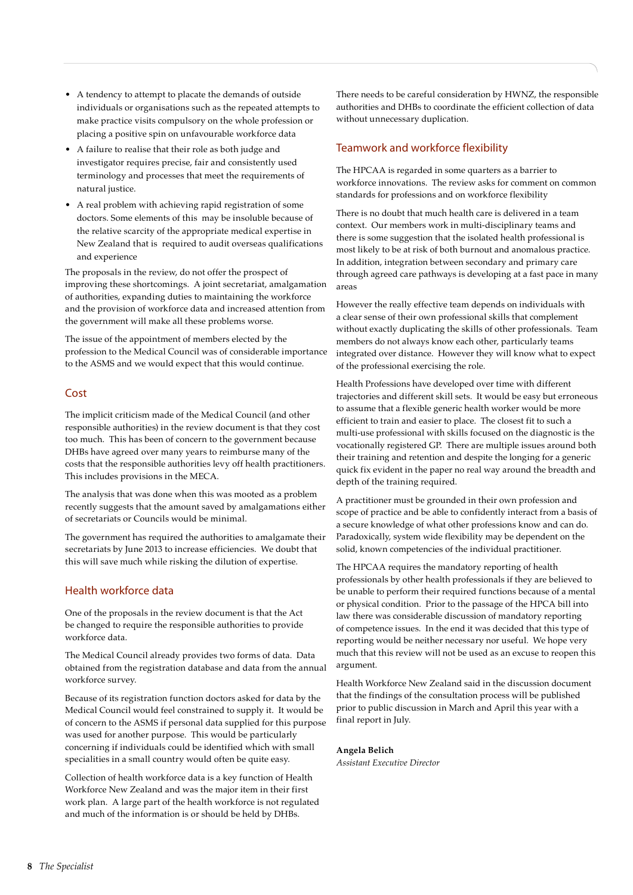- A tendency to attempt to placate the demands of outside individuals or organisations such as the repeated attempts to make practice visits compulsory on the whole profession or placing a positive spin on unfavourable workforce data
- A failure to realise that their role as both judge and investigator requires precise, fair and consistently used terminology and processes that meet the requirements of natural justice.
- A real problem with achieving rapid registration of some doctors. Some elements of this may be insoluble because of the relative scarcity of the appropriate medical expertise in New Zealand that is required to audit overseas qualifications and experience

The proposals in the review, do not offer the prospect of improving these shortcomings. A joint secretariat, amalgamation of authorities, expanding duties to maintaining the workforce and the provision of workforce data and increased attention from the government will make all these problems worse.

The issue of the appointment of members elected by the profession to the Medical Council was of considerable importance to the ASMS and we would expect that this would continue.

### Cost

The implicit criticism made of the Medical Council (and other responsible authorities) in the review document is that they cost too much. This has been of concern to the government because DHBs have agreed over many years to reimburse many of the costs that the responsible authorities levy off health practitioners. This includes provisions in the MECA.

The analysis that was done when this was mooted as a problem recently suggests that the amount saved by amalgamations either of secretariats or Councils would be minimal.

The government has required the authorities to amalgamate their secretariats by June 2013 to increase efficiencies. We doubt that this will save much while risking the dilution of expertise.

### Health workforce data

One of the proposals in the review document is that the Act be changed to require the responsible authorities to provide workforce data.

The Medical Council already provides two forms of data. Data obtained from the registration database and data from the annual workforce survey.

Because of its registration function doctors asked for data by the Medical Council would feel constrained to supply it. It would be of concern to the ASMS if personal data supplied for this purpose was used for another purpose. This would be particularly concerning if individuals could be identified which with small specialities in a small country would often be quite easy.

Collection of health workforce data is a key function of Health Workforce New Zealand and was the major item in their first work plan. A large part of the health workforce is not regulated and much of the information is or should be held by DHBs.

There needs to be careful consideration by HWNZ, the responsible authorities and DHBs to coordinate the efficient collection of data without unnecessary duplication.

### Teamwork and workforce flexibility

The HPCAA is regarded in some quarters as a barrier to workforce innovations. The review asks for comment on common standards for professions and on workforce flexibility

There is no doubt that much health care is delivered in a team context. Our members work in multi-disciplinary teams and there is some suggestion that the isolated health professional is most likely to be at risk of both burnout and anomalous practice. In addition, integration between secondary and primary care through agreed care pathways is developing at a fast pace in many areas

However the really effective team depends on individuals with a clear sense of their own professional skills that complement without exactly duplicating the skills of other professionals. Team members do not always know each other, particularly teams integrated over distance. However they will know what to expect of the professional exercising the role.

Health Professions have developed over time with different trajectories and different skill sets. It would be easy but erroneous to assume that a flexible generic health worker would be more efficient to train and easier to place. The closest fit to such a multi-use professional with skills focused on the diagnostic is the vocationally registered GP. There are multiple issues around both their training and retention and despite the longing for a generic quick fix evident in the paper no real way around the breadth and depth of the training required.

A practitioner must be grounded in their own profession and scope of practice and be able to confidently interact from a basis of a secure knowledge of what other professions know and can do. Paradoxically, system wide flexibility may be dependent on the solid, known competencies of the individual practitioner.

The HPCAA requires the mandatory reporting of health professionals by other health professionals if they are believed to be unable to perform their required functions because of a mental or physical condition. Prior to the passage of the HPCA bill into law there was considerable discussion of mandatory reporting of competence issues. In the end it was decided that this type of reporting would be neither necessary nor useful. We hope very much that this review will not be used as an excuse to reopen this argument.

Health Workforce New Zealand said in the discussion document that the findings of the consultation process will be published prior to public discussion in March and April this year with a final report in July.

### **Angela Belich**

*Assistant Executive Director*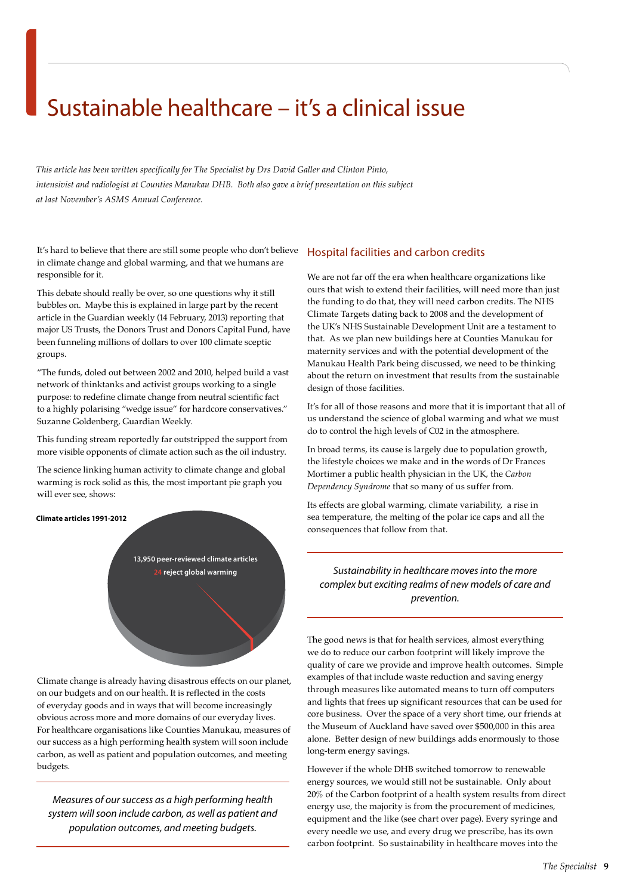## Sustainable healthcare – it's a clinical issue

*This article has been written specifically for The Specialist by Drs David Galler and Clinton Pinto, intensivist and radiologist at Counties Manukau DHB. Both also gave a brief presentation on this subject at last November's ASMS Annual Conference.*

It's hard to believe that there are still some people who don't believe in climate change and global warming, and that we humans are responsible for it.

This debate should really be over, so one questions why it still bubbles on. Maybe this is explained in large part by the recent article in the Guardian weekly (14 February, 2013) reporting that major US Trusts, the Donors Trust and Donors Capital Fund, have been funneling millions of dollars to over 100 climate sceptic groups.

"The funds, doled out between 2002 and 2010, helped build a vast network of thinktanks and activist groups working to a single purpose: to redefine climate change from neutral scientific fact to a highly polarising "wedge issue" for hardcore conservatives." Suzanne Goldenberg, Guardian Weekly.

This funding stream reportedly far outstripped the support from more visible opponents of climate action such as the oil industry.

The science linking human activity to climate change and global warming is rock solid as this, the most important pie graph you will ever see, shows:



Climate change is already having disastrous effects on our planet, on our budgets and on our health. It is reflected in the costs of everyday goods and in ways that will become increasingly obvious across more and more domains of our everyday lives. For healthcare organisations like Counties Manukau, measures of our success as a high performing health system will soon include carbon, as well as patient and population outcomes, and meeting budgets.

*Measures of our success as a high performing health system will soon include carbon, as well as patient and population outcomes, and meeting budgets.*

### Hospital facilities and carbon credits

We are not far off the era when healthcare organizations like ours that wish to extend their facilities, will need more than just the funding to do that, they will need carbon credits. The NHS Climate Targets dating back to 2008 and the development of the UK's NHS Sustainable Development Unit are a testament to that. As we plan new buildings here at Counties Manukau for maternity services and with the potential development of the Manukau Health Park being discussed, we need to be thinking about the return on investment that results from the sustainable design of those facilities.

It's for all of those reasons and more that it is important that all of us understand the science of global warming and what we must do to control the high levels of C02 in the atmosphere.

In broad terms, its cause is largely due to population growth, the lifestyle choices we make and in the words of Dr Frances Mortimer a public health physician in the UK, the *Carbon Dependency Syndrome* that so many of us suffer from.

Its effects are global warming, climate variability, a rise in sea temperature, the melting of the polar ice caps and all the consequences that follow from that.

### **24 reject global warming** *Sustainability in healthcare moves into the more complex but exciting realms of new models of care and prevention.*

The good news is that for health services, almost everything we do to reduce our carbon footprint will likely improve the quality of care we provide and improve health outcomes. Simple examples of that include waste reduction and saving energy through measures like automated means to turn off computers and lights that frees up significant resources that can be used for core business. Over the space of a very short time, our friends at the Museum of Auckland have saved over \$500,000 in this area alone. Better design of new buildings adds enormously to those long-term energy savings.

However if the whole DHB switched tomorrow to renewable energy sources, we would still not be sustainable. Only about 20% of the Carbon footprint of a health system results from direct energy use, the majority is from the procurement of medicines, equipment and the like (see chart over page). Every syringe and every needle we use, and every drug we prescribe, has its own carbon footprint. So sustainability in healthcare moves into the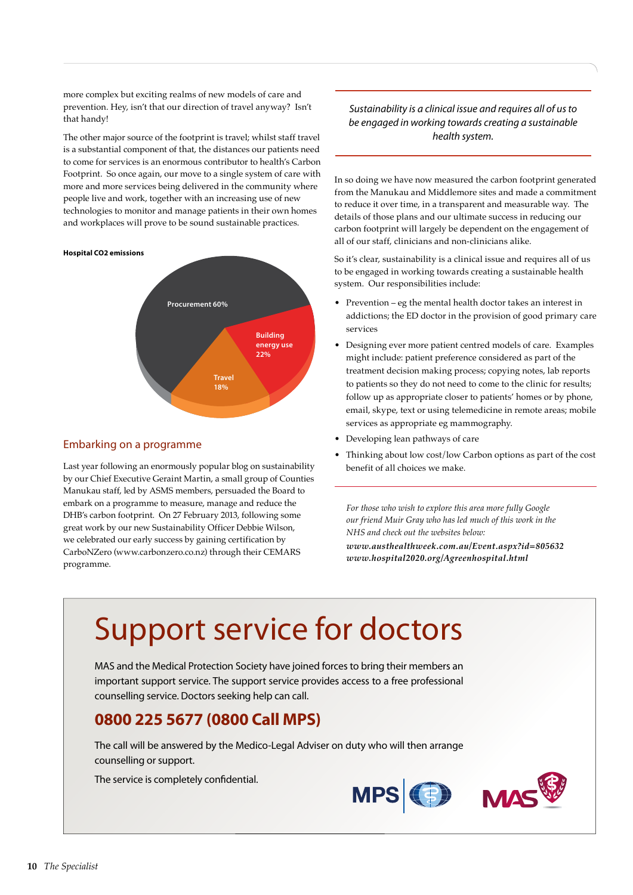more complex but exciting realms of new models of care and prevention. Hey, isn't that our direction of travel anyway? Isn't that handy!

The other major source of the footprint is travel; whilst staff travel is a substantial component of that, the distances our patients need to come for services is an enormous contributor to health's Carbon Footprint. So once again, our move to a single system of care with more and more services being delivered in the community where people live and work, together with an increasing use of new technologies to monitor and manage patients in their own homes and workplaces will prove to be sound sustainable practices.

#### **Hospital CO2 emissions**



### Embarking on a programme

Last year following an enormously popular blog on sustainability by our Chief Executive Geraint Martin, a small group of Counties Manukau staff, led by ASMS members, persuaded the Board to embark on a programme to measure, manage and reduce the DHB's carbon footprint. On 27 February 2013, following some great work by our new Sustainability Officer Debbie Wilson, we celebrated our early success by gaining certification by CarboNZero (www.carbonzero.co.nz) through their CEMARS programme.

### *Sustainability is a clinical issue and requires all of us to be engaged in working towards creating a sustainable health system.*

In so doing we have now measured the carbon footprint generated from the Manukau and Middlemore sites and made a commitment to reduce it over time, in a transparent and measurable way. The details of those plans and our ultimate success in reducing our carbon footprint will largely be dependent on the engagement of all of our staff, clinicians and non-clinicians alike.

So it's clear, sustainability is a clinical issue and requires all of us to be engaged in working towards creating a sustainable health system. Our responsibilities include:

- Prevention eg the mental health doctor takes an interest in addictions; the ED doctor in the provision of good primary care services
- Designing ever more patient centred models of care. Examples might include: patient preference considered as part of the treatment decision making process; copying notes, lab reports to patients so they do not need to come to the clinic for results; follow up as appropriate closer to patients' homes or by phone, email, skype, text or using telemedicine in remote areas; mobile services as appropriate eg mammography.
- Developing lean pathways of care
- Thinking about low cost/low Carbon options as part of the cost benefit of all choices we make.

*For those who wish to explore this area more fully Google our friend Muir Gray who has led much of this work in the NHS and check out the websites below: www.austhealthweek.com.au/Event.aspx?id=805632 www.hospital2020.org/Agreenhospital.html*

# Support service for doctors

MAS and the Medical Protection Society have joined forces to bring their members an important support service. The support service provides access to a free professional counselling service. Doctors seeking help can call.

### **0800 225 5677 (0800 Call MPS)**

The call will be answered by the Medico-Legal Adviser on duty who will then arrange counselling or support.

The service is completely confidential.



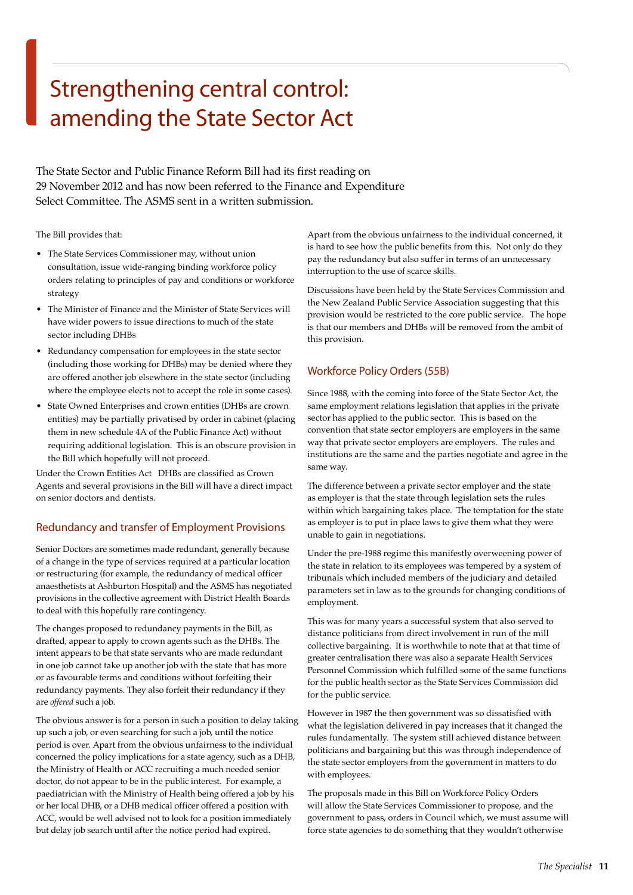# Strengthening central control: amending the State Sector Act

The State Sector and Public Finance Reform Bill had its first reading on 29 November 2012 and has now been referred to the Finance and Expenditure Select Committee. The ASMS sent in a written submission.

The Bill provides that:

- The State Services Commissioner may, without union consultation, issue wide-ranging binding workforce policy orders relating to principles of pay and conditions or workforce strategy
- The Minister of Finance and the Minister of State Services will have wider powers to issue directions to much of the state sector including DHBs
- Redundancy compensation for employees in the state sector (including those working for DHBs) may be denied where they are offered another job elsewhere in the state sector (including where the employee elects not to accept the role in some cases).
- State Owned Enterprises and crown entities (DHBs are crown entities) may be partially privatised by order in cabinet (placing them in new schedule 4A of the Public Finance Act) without requiring additional legislation. This is an obscure provision in the Bill which hopefully will not proceed.

Under the Crown Entities Act DHBs are classified as Crown Agents and several provisions in the Bill will have a direct impact on senior doctors and dentists.

### Redundancy and transfer of Employment Provisions

Senior Doctors are sometimes made redundant, generally because of a change in the type of services required at a particular location or restructuring (for example, the redundancy of medical officer anaesthetists at Ashburton Hospital) and the ASMS has negotiated provisions in the collective agreement with District Health Boards to deal with this hopefully rare contingency.

The changes proposed to redundancy payments in the Bill, as drafted, appear to apply to crown agents such as the DHBs. The intent appears to be that state servants who are made redundant in one job cannot take up another job with the state that has more or as favourable terms and conditions without forfeiting their redundancy payments. They also forfeit their redundancy if they are *offered* such a job.

The obvious answer is for a person in such a position to delay taking up such a job, or even searching for such a job, until the notice period is over. Apart from the obvious unfairness to the individual concerned the policy implications for a state agency, such as a DHB, the Ministry of Health or ACC recruiting a much needed senior doctor, do not appear to be in the public interest. For example, a paediatrician with the Ministry of Health being offered a job by his or her local DHB, or a DHB medical officer offered a position with ACC, would be well advised not to look for a position immediately but delay job search until after the notice period had expired.

Apart from the obvious unfairness to the individual concerned, it is hard to see how the public benefits from this. Not only do they pay the redundancy but also suffer in terms of an unnecessary interruption to the use of scarce skills.

Discussions have been held by the State Services Commission and the New Zealand Public Service Association suggesting that this provision would be restricted to the core public service. The hope is that our members and DHBs will be removed from the ambit of this provision.

### Workforce Policy Orders (55B)

Since 1988, with the coming into force of the State Sector Act, the same employment relations legislation that applies in the private sector has applied to the public sector. This is based on the convention that state sector employers are employers in the same way that private sector employers are employers. The rules and institutions are the same and the parties negotiate and agree in the same way.

The difference between a private sector employer and the state as employer is that the state through legislation sets the rules within which bargaining takes place. The temptation for the state as employer is to put in place laws to give them what they were unable to gain in negotiations.

Under the pre-1988 regime this manifestly overweening power of the state in relation to its employees was tempered by a system of tribunals which included members of the judiciary and detailed parameters set in law as to the grounds for changing conditions of employment.

This was for many years a successful system that also served to distance politicians from direct involvement in run of the mill collective bargaining. It is worthwhile to note that at that time of greater centralisation there was also a separate Health Services Personnel Commission which fulfilled some of the same functions for the public health sector as the State Services Commission did for the public service.

However in 1987 the then government was so dissatisfied with what the legislation delivered in pay increases that it changed the rules fundamentally. The system still achieved distance between politicians and bargaining but this was through independence of the state sector employers from the government in matters to do with employees.

The proposals made in this Bill on Workforce Policy Orders will allow the State Services Commissioner to propose, and the government to pass, orders in Council which, we must assume will force state agencies to do something that they wouldn't otherwise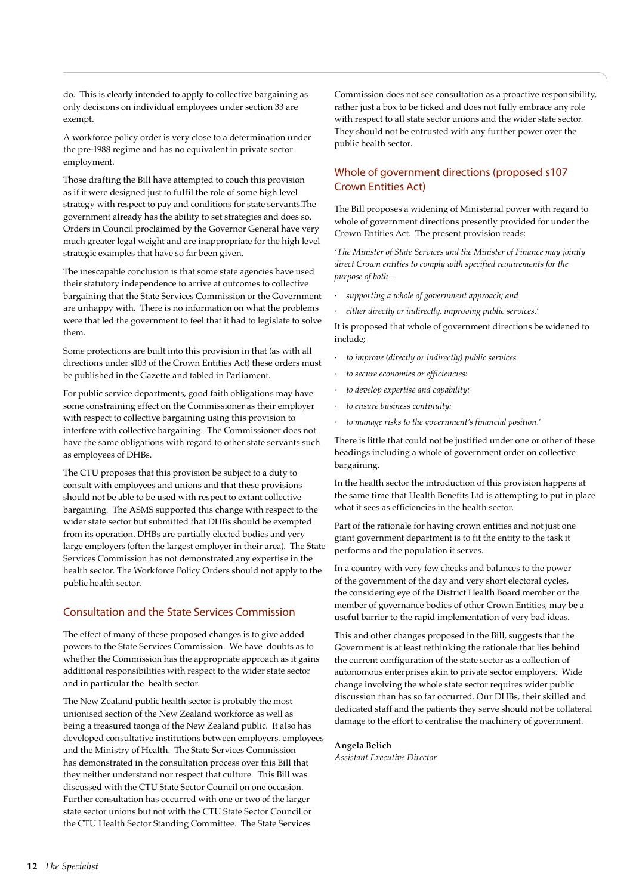do. This is clearly intended to apply to collective bargaining as only decisions on individual employees under section 33 are exempt.

A workforce policy order is very close to a determination under the pre-1988 regime and has no equivalent in private sector employment.

Those drafting the Bill have attempted to couch this provision as if it were designed just to fulfil the role of some high level strategy with respect to pay and conditions for state servants.The government already has the ability to set strategies and does so. Orders in Council proclaimed by the Governor General have very much greater legal weight and are inappropriate for the high level strategic examples that have so far been given.

The inescapable conclusion is that some state agencies have used their statutory independence to arrive at outcomes to collective bargaining that the State Services Commission or the Government are unhappy with. There is no information on what the problems were that led the government to feel that it had to legislate to solve them.

Some protections are built into this provision in that (as with all directions under s103 of the Crown Entities Act) these orders must be published in the Gazette and tabled in Parliament.

For public service departments, good faith obligations may have some constraining effect on the Commissioner as their employer with respect to collective bargaining using this provision to interfere with collective bargaining. The Commissioner does not have the same obligations with regard to other state servants such as employees of DHBs.

The CTU proposes that this provision be subject to a duty to consult with employees and unions and that these provisions should not be able to be used with respect to extant collective bargaining. The ASMS supported this change with respect to the wider state sector but submitted that DHBs should be exempted from its operation. DHBs are partially elected bodies and very large employers (often the largest employer in their area). The State Services Commission has not demonstrated any expertise in the health sector. The Workforce Policy Orders should not apply to the public health sector.

### Consultation and the State Services Commission

The effect of many of these proposed changes is to give added powers to the State Services Commission. We have doubts as to whether the Commission has the appropriate approach as it gains additional responsibilities with respect to the wider state sector and in particular the health sector.

The New Zealand public health sector is probably the most unionised section of the New Zealand workforce as well as being a treasured taonga of the New Zealand public. It also has developed consultative institutions between employers, employees and the Ministry of Health. The State Services Commission has demonstrated in the consultation process over this Bill that they neither understand nor respect that culture. This Bill was discussed with the CTU State Sector Council on one occasion. Further consultation has occurred with one or two of the larger state sector unions but not with the CTU State Sector Council or the CTU Health Sector Standing Committee. The State Services

Commission does not see consultation as a proactive responsibility, rather just a box to be ticked and does not fully embrace any role with respect to all state sector unions and the wider state sector. They should not be entrusted with any further power over the public health sector.

### Whole of government directions (proposed s 107 Crown Entities Act)

The Bill proposes a widening of Ministerial power with regard to whole of government directions presently provided for under the Crown Entities Act. The present provision reads:

*'The Minister of State Services and the Minister of Finance may jointly direct Crown entities to comply with specified requirements for the purpose of both—*

- *· supporting a whole of government approach; and*
- *· either directly or indirectly, improving public services.'*

It is proposed that whole of government directions be widened to include;

- *· to improve (directly or indirectly) public services*
- *· to secure economies or efficiencies:*
- *· to develop expertise and capability:*
- *· to ensure business continuity:*
- *· to manage risks to the government's financial position.'*

There is little that could not be justified under one or other of these headings including a whole of government order on collective bargaining.

In the health sector the introduction of this provision happens at the same time that Health Benefits Ltd is attempting to put in place what it sees as efficiencies in the health sector.

Part of the rationale for having crown entities and not just one giant government department is to fit the entity to the task it performs and the population it serves.

In a country with very few checks and balances to the power of the government of the day and very short electoral cycles, the considering eye of the District Health Board member or the member of governance bodies of other Crown Entities, may be a useful barrier to the rapid implementation of very bad ideas.

This and other changes proposed in the Bill, suggests that the Government is at least rethinking the rationale that lies behind the current configuration of the state sector as a collection of autonomous enterprises akin to private sector employers. Wide change involving the whole state sector requires wider public discussion than has so far occurred. Our DHBs, their skilled and dedicated staff and the patients they serve should not be collateral damage to the effort to centralise the machinery of government.

### **Angela Belich**

*Assistant Executive Director*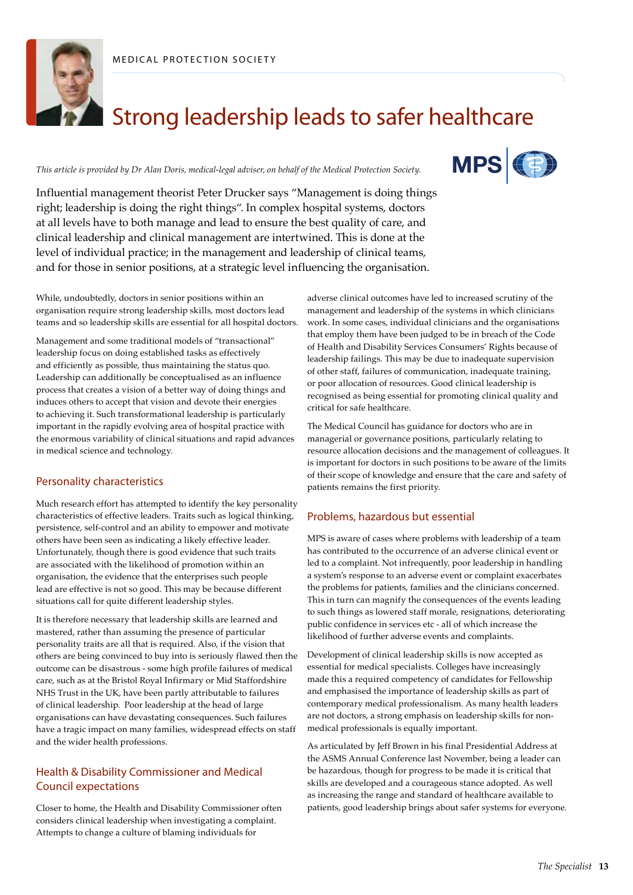



# Strong leadership leads to safer healthcare

*This article is provided by Dr Alan Doris, medical-legal adviser, on behalf of the Medical Protection Society.*



Influential management theorist Peter Drucker says "Management is doing things right; leadership is doing the right things". In complex hospital systems, doctors at all levels have to both manage and lead to ensure the best quality of care, and clinical leadership and clinical management are intertwined. This is done at the level of individual practice; in the management and leadership of clinical teams, and for those in senior positions, at a strategic level influencing the organisation.

While, undoubtedly, doctors in senior positions within an organisation require strong leadership skills, most doctors lead teams and so leadership skills are essential for all hospital doctors.

Management and some traditional models of "transactional" leadership focus on doing established tasks as effectively and efficiently as possible, thus maintaining the status quo. Leadership can additionally be conceptualised as an influence process that creates a vision of a better way of doing things and induces others to accept that vision and devote their energies to achieving it. Such transformational leadership is particularly important in the rapidly evolving area of hospital practice with the enormous variability of clinical situations and rapid advances in medical science and technology.

### Personality characteristics

Much research effort has attempted to identify the key personality characteristics of effective leaders. Traits such as logical thinking, persistence, self-control and an ability to empower and motivate others have been seen as indicating a likely effective leader. Unfortunately, though there is good evidence that such traits are associated with the likelihood of promotion within an organisation, the evidence that the enterprises such people lead are effective is not so good. This may be because different situations call for quite different leadership styles.

It is therefore necessary that leadership skills are learned and mastered, rather than assuming the presence of particular personality traits are all that is required. Also, if the vision that others are being convinced to buy into is seriously flawed then the outcome can be disastrous - some high profile failures of medical care, such as at the Bristol Royal Infirmary or Mid Staffordshire NHS Trust in the UK, have been partly attributable to failures of clinical leadership. Poor leadership at the head of large organisations can have devastating consequences. Such failures have a tragic impact on many families, widespread effects on staff and the wider health professions.

### Health & Disability Commissioner and Medical Council expectations

Closer to home, the Health and Disability Commissioner often considers clinical leadership when investigating a complaint. Attempts to change a culture of blaming individuals for

adverse clinical outcomes have led to increased scrutiny of the management and leadership of the systems in which clinicians work. In some cases, individual clinicians and the organisations that employ them have been judged to be in breach of the Code of Health and Disability Services Consumers' Rights because of leadership failings. This may be due to inadequate supervision of other staff, failures of communication, inadequate training, or poor allocation of resources. Good clinical leadership is recognised as being essential for promoting clinical quality and critical for safe healthcare.

The Medical Council has guidance for doctors who are in managerial or governance positions, particularly relating to resource allocation decisions and the management of colleagues. It is important for doctors in such positions to be aware of the limits of their scope of knowledge and ensure that the care and safety of patients remains the first priority.

### Problems, hazardous but essential

MPS is aware of cases where problems with leadership of a team has contributed to the occurrence of an adverse clinical event or led to a complaint. Not infrequently, poor leadership in handling a system's response to an adverse event or complaint exacerbates the problems for patients, families and the clinicians concerned. This in turn can magnify the consequences of the events leading to such things as lowered staff morale, resignations, deteriorating public confidence in services etc - all of which increase the likelihood of further adverse events and complaints.

Development of clinical leadership skills is now accepted as essential for medical specialists. Colleges have increasingly made this a required competency of candidates for Fellowship and emphasised the importance of leadership skills as part of contemporary medical professionalism. As many health leaders are not doctors, a strong emphasis on leadership skills for nonmedical professionals is equally important.

As articulated by Jeff Brown in his final Presidential Address at the ASMS Annual Conference last November, being a leader can be hazardous, though for progress to be made it is critical that skills are developed and a courageous stance adopted. As well as increasing the range and standard of healthcare available to patients, good leadership brings about safer systems for everyone.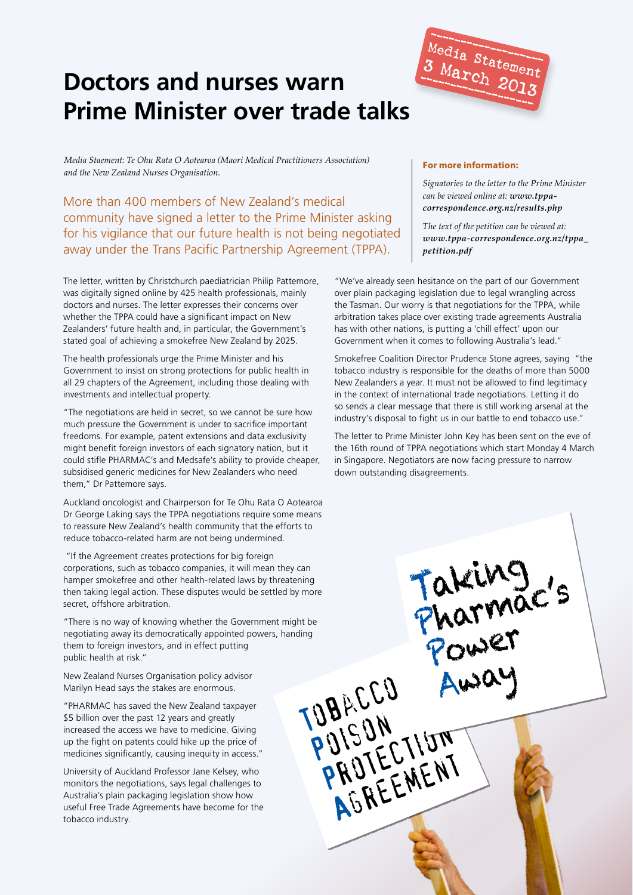# **Doctors and nurses warn Prime Minister over trade talks**



*Media Staement: Te Ohu Rata O Aotearoa (Maori Medical Practitioners Association) and the New Zealand Nurses Organisation.* 

More than 400 members of New Zealand's medical community have signed a letter to the Prime Minister asking for his vigilance that our future health is not being negotiated away under the Trans Pacific Partnership Agreement (TPPA).

The letter, written by Christchurch paediatrician Philip Pattemore, was digitally signed online by 425 health professionals, mainly doctors and nurses. The letter expresses their concerns over whether the TPPA could have a significant impact on New Zealanders' future health and, in particular, the Government's stated goal of achieving a smokefree New Zealand by 2025.

The health professionals urge the Prime Minister and his Government to insist on strong protections for public health in all 29 chapters of the Agreement, including those dealing with investments and intellectual property.

"The negotiations are held in secret, so we cannot be sure how much pressure the Government is under to sacrifice important freedoms. For example, patent extensions and data exclusivity might benefit foreign investors of each signatory nation, but it could stifle PHARMAC's and Medsafe's ability to provide cheaper, subsidised generic medicines for New Zealanders who need them," Dr Pattemore says.

Auckland oncologist and Chairperson for Te Ohu Rata O Aotearoa Dr George Laking says the TPPA negotiations require some means to reassure New Zealand's health community that the efforts to reduce tobacco-related harm are not being undermined.

"If the Agreement creates protections for big foreign corporations, such as tobacco companies, it will mean they can hamper smokefree and other health-related laws by threatening then taking legal action. These disputes would be settled by more secret, offshore arbitration.

"There is no way of knowing whether the Government might be negotiating away its democratically appointed powers, handing them to foreign investors, and in effect putting public health at risk."

New Zealand Nurses Organisation policy advisor Marilyn Head says the stakes are enormous.

"PHARMAC has saved the New Zealand taxpayer \$5 billion over the past 12 years and greatly increased the access we have to medicine. Giving up the fight on patents could hike up the price of medicines significantly, causing inequity in access."

University of Auckland Professor Jane Kelsey, who monitors the negotiations, says legal challenges to Australia's plain packaging legislation show how useful Free Trade Agreements have become for the tobacco industry.

### **For more information:**

*Signatories to the letter to the Prime Minister can be viewed online at: www.tppacorrespondence.org.nz/results.php*

*The text of the petition can be viewed at: www.tppa-correspondence.org.nz/tppa\_ petition.pdf*

"We've already seen hesitance on the part of our Government over plain packaging legislation due to legal wrangling across the Tasman. Our worry is that negotiations for the TPPA, while arbitration takes place over existing trade agreements Australia has with other nations, is putting a 'chill effect' upon our Government when it comes to following Australia's lead."

Smokefree Coalition Director Prudence Stone agrees, saying "the tobacco industry is responsible for the deaths of more than 5000 New Zealanders a year. It must not be allowed to find legitimacy in the context of international trade negotiations. Letting it do so sends a clear message that there is still working arsenal at the industry's disposal to fight us in our battle to end tobacco use."

The letter to Prime Minister John Key has been sent on the eve of the 16th round of TPPA negotiations which start Monday 4 March in Singapore. Negotiators are now facing pressure to narrow down outstanding disagreements.

Taking

Power

Away

Pharmac's

TOBACCO

PUISUN<br>PUISUN

DISUM<br>PRUTECTIUM

AGREEMENT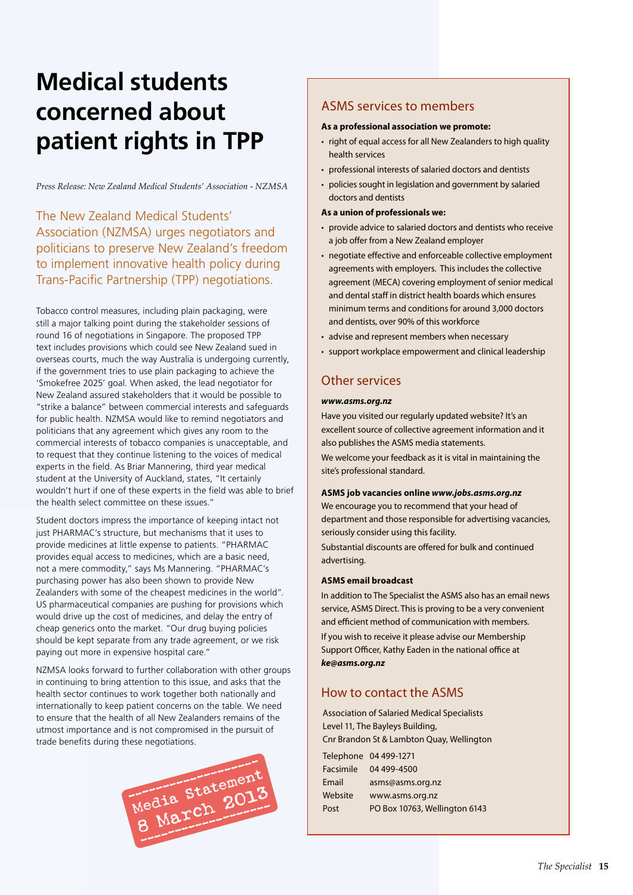# **Medical students concerned about patient rights in TPP**

*Press Release: New Zealand Medical Students' Association - NZMSA*

The New Zealand Medical Students' Association (NZMSA) urges negotiators and politicians to preserve New Zealand's freedom to implement innovative health policy during Trans-Pacific Partnership (TPP) negotiations.

Tobacco control measures, including plain packaging, were still a major talking point during the stakeholder sessions of round 16 of negotiations in Singapore. The proposed TPP text includes provisions which could see New Zealand sued in overseas courts, much the way Australia is undergoing currently, if the government tries to use plain packaging to achieve the 'Smokefree 2025' goal. When asked, the lead negotiator for New Zealand assured stakeholders that it would be possible to "strike a balance" between commercial interests and safeguards for public health. NZMSA would like to remind negotiators and politicians that any agreement which gives any room to the commercial interests of tobacco companies is unacceptable, and to request that they continue listening to the voices of medical experts in the field. As Briar Mannering, third year medical student at the University of Auckland, states, "It certainly wouldn't hurt if one of these experts in the field was able to brief the health select committee on these issues."

Student doctors impress the importance of keeping intact not just PHARMAC's structure, but mechanisms that it uses to provide medicines at little expense to patients. "PHARMAC provides equal access to medicines, which are a basic need, not a mere commodity," says Ms Mannering. "PHARMAC's purchasing power has also been shown to provide New Zealanders with some of the cheapest medicines in the world". US pharmaceutical companies are pushing for provisions which would drive up the cost of medicines, and delay the entry of cheap generics onto the market. "Our drug buying policies should be kept separate from any trade agreement, or we risk paying out more in expensive hospital care."

NZMSA looks forward to further collaboration with other groups in continuing to bring attention to this issue, and asks that the health sector continues to work together both nationally and internationally to keep patient concerns on the table. We need to ensure that the health of all New Zealanders remains of the utmost importance and is not compromised in the pursuit of trade benefits during these negotiations.



### ASMS services to members

### **As a professional association we promote:**

- right of equal access for all New Zealanders to high quality health services
- professional interests of salaried doctors and dentists
- policies sought in legislation and government by salaried doctors and dentists

### **As a union of professionals we:**

- provide advice to salaried doctors and dentists who receive a job offer from a New Zealand employer
- negotiate effective and enforceable collective employment agreements with employers. This includes the collective agreement (MECA) covering employment of senior medical and dental staff in district health boards which ensures minimum terms and conditions for around 3,000 doctors and dentists, over 90% of this workforce
- advise and represent members when necessary
- support workplace empowerment and clinical leadership

### Other services

### *www.asms.org.nz*

Have you visited our regularly updated website? It's an excellent source of collective agreement information and it also publishes the ASMS media statements.

We welcome your feedback as it is vital in maintaining the site's professional standard.

### **ASMS job vacancies online** *www.jobs.asms.org.nz*

We encourage you to recommend that your head of department and those responsible for advertising vacancies, seriously consider using this facility.

Substantial discounts are offered for bulk and continued advertising.

### **ASMS email broadcast**

In addition to The Specialist the ASMS also has an email news service, ASMS Direct. This is proving to be a very convenient and efficient method of communication with members.

If you wish to receive it please advise our Membership Support Officer, Kathy Eaden in the national office at *ke@asms.org.nz*

### How to contact the ASMS

Association of Salaried Medical Specialists Level 11, The Bayleys Building, Cnr Brandon St & Lambton Quay, Wellington

|           | Telephone 04 499-1271         |
|-----------|-------------------------------|
| Facsimile | 04 499-4500                   |
| Email     | asms@asms.org.nz              |
| Website   | www.asms.org.nz               |
| Post      | PO Box 10763, Wellington 6143 |